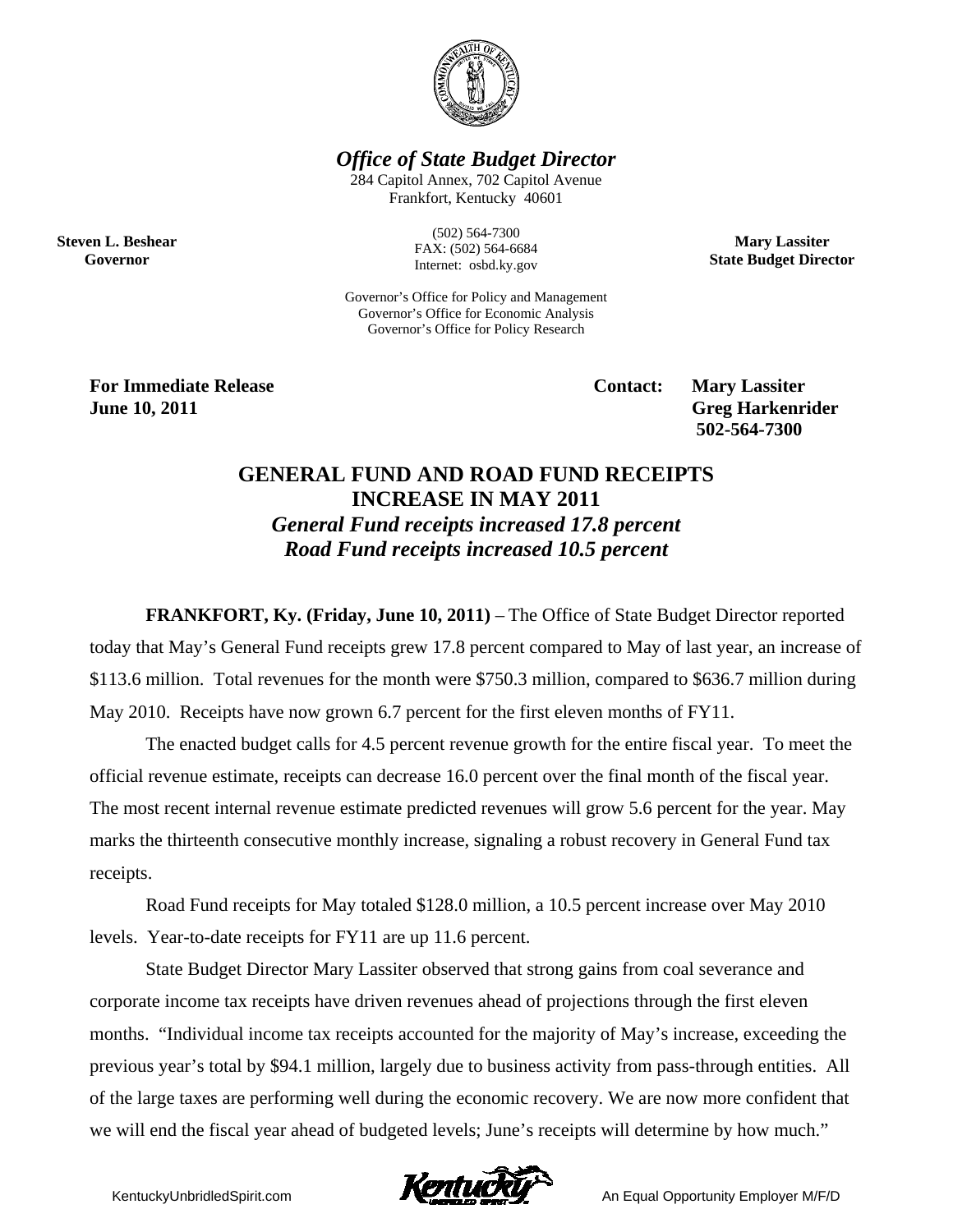

*Office of State Budget Director* 

284 Capitol Annex, 702 Capitol Avenue Frankfort, Kentucky 40601

> (502) 564-7300 FAX: (502) 564-6684 Internet: osbd.ky.gov

**Mary Lassiter State Budget Director** 

Governor's Office for Policy and Management Governor's Office for Economic Analysis Governor's Office for Policy Research

**For Immediate Release Service Service Service Contact: Mary Lassiter June 10, 2011 Greg Harkenrider Greg Harkenrider Greg Harkenrider** 

**Steven L. Beshear Governor** 

 **502-564-7300** 

## **GENERAL FUND AND ROAD FUND RECEIPTS INCREASE IN MAY 2011**  *General Fund receipts increased 17.8 percent Road Fund receipts increased 10.5 percent*

**FRANKFORT, Ky. (Friday, June 10, 2011)** – The Office of State Budget Director reported today that May's General Fund receipts grew 17.8 percent compared to May of last year, an increase of \$113.6 million. Total revenues for the month were \$750.3 million, compared to \$636.7 million during May 2010. Receipts have now grown 6.7 percent for the first eleven months of FY11.

The enacted budget calls for 4.5 percent revenue growth for the entire fiscal year. To meet the official revenue estimate, receipts can decrease 16.0 percent over the final month of the fiscal year. The most recent internal revenue estimate predicted revenues will grow 5.6 percent for the year. May marks the thirteenth consecutive monthly increase, signaling a robust recovery in General Fund tax receipts.

Road Fund receipts for May totaled \$128.0 million, a 10.5 percent increase over May 2010 levels. Year-to-date receipts for FY11 are up 11.6 percent.

State Budget Director Mary Lassiter observed that strong gains from coal severance and corporate income tax receipts have driven revenues ahead of projections through the first eleven months. "Individual income tax receipts accounted for the majority of May's increase, exceeding the previous year's total by \$94.1 million, largely due to business activity from pass-through entities. All of the large taxes are performing well during the economic recovery. We are now more confident that we will end the fiscal year ahead of budgeted levels; June's receipts will determine by how much."

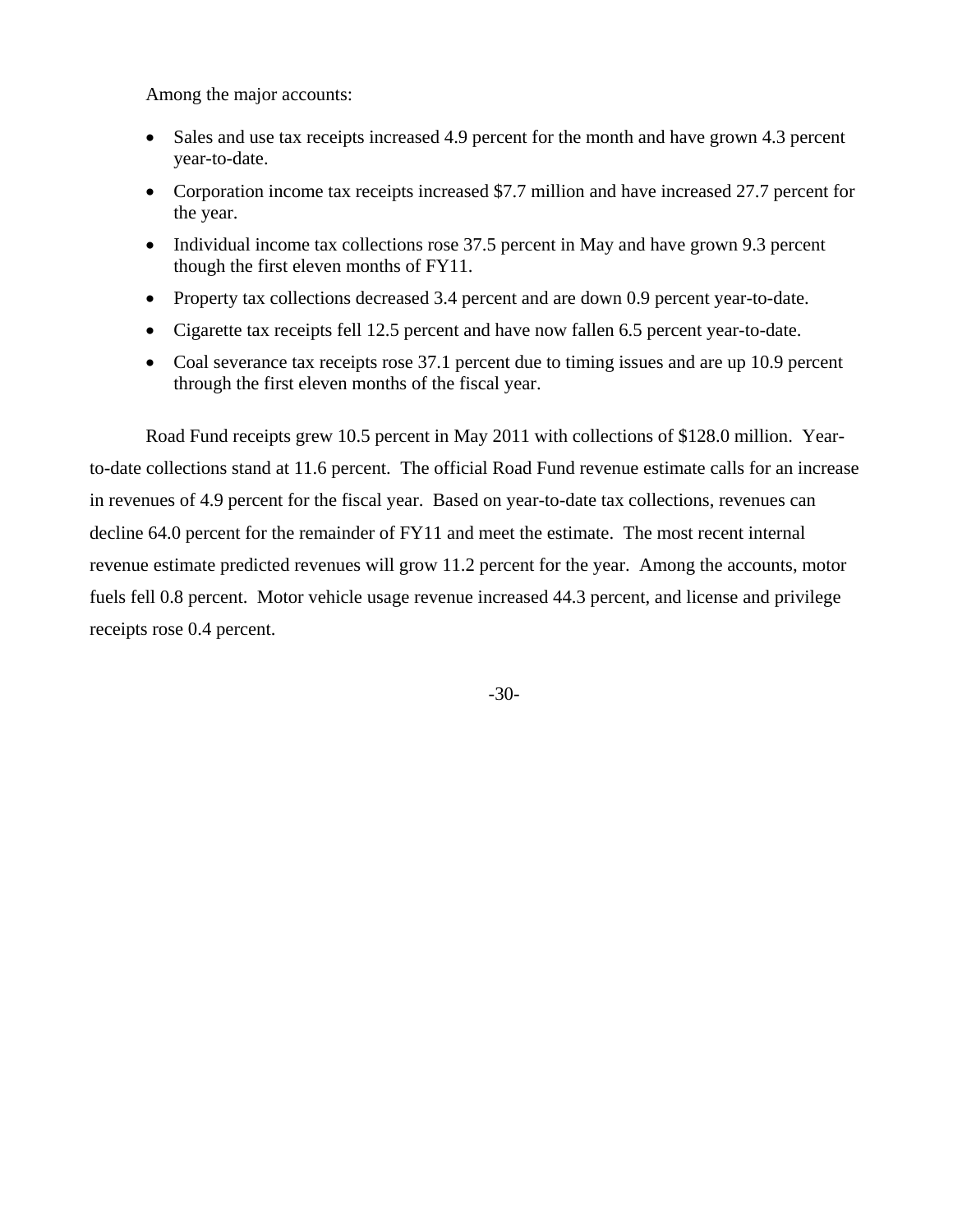Among the major accounts:

- Sales and use tax receipts increased 4.9 percent for the month and have grown 4.3 percent year-to-date.
- Corporation income tax receipts increased \$7.7 million and have increased 27.7 percent for the year.
- Individual income tax collections rose 37.5 percent in May and have grown 9.3 percent though the first eleven months of FY11.
- Property tax collections decreased 3.4 percent and are down 0.9 percent year-to-date.
- Cigarette tax receipts fell 12.5 percent and have now fallen 6.5 percent year-to-date.
- Coal severance tax receipts rose 37.1 percent due to timing issues and are up 10.9 percent through the first eleven months of the fiscal year.

Road Fund receipts grew 10.5 percent in May 2011 with collections of \$128.0 million. Yearto-date collections stand at 11.6 percent. The official Road Fund revenue estimate calls for an increase in revenues of 4.9 percent for the fiscal year. Based on year-to-date tax collections, revenues can decline 64.0 percent for the remainder of FY11 and meet the estimate. The most recent internal revenue estimate predicted revenues will grow 11.2 percent for the year. Among the accounts, motor fuels fell 0.8 percent. Motor vehicle usage revenue increased 44.3 percent, and license and privilege receipts rose 0.4 percent.

-30-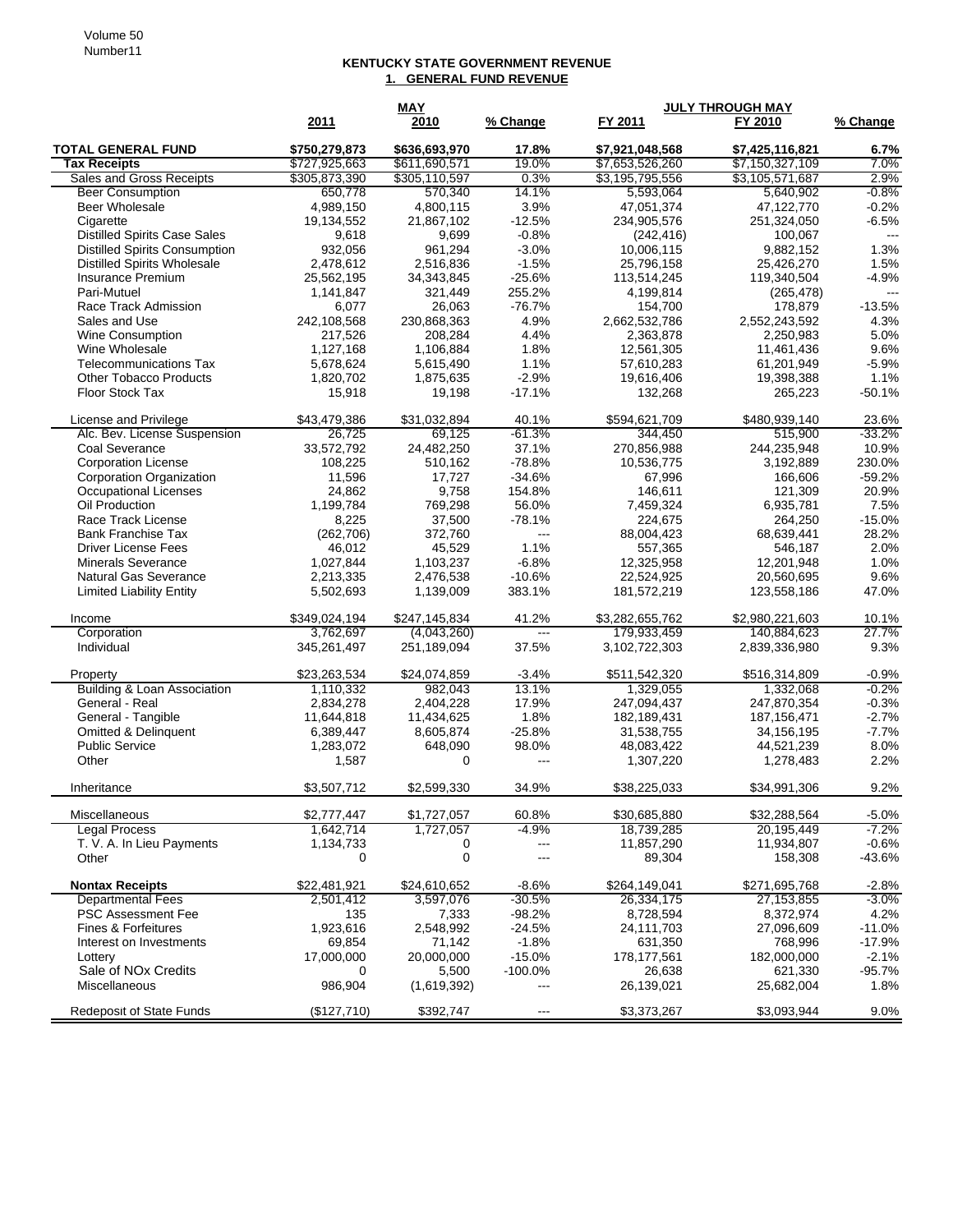## **KENTUCKY STATE GOVERNMENT REVENUE 1. GENERAL FUND REVENUE**

|                                      | <b>MAY</b>    |               |                          | <b>JULY THROUGH MAY</b> |                 |                        |
|--------------------------------------|---------------|---------------|--------------------------|-------------------------|-----------------|------------------------|
|                                      | 2011          | 2010          | % Change                 | FY 2011                 | FY 2010         | % Change               |
| <b>TOTAL GENERAL FUND</b>            | \$750,279,873 | \$636,693,970 | 17.8%                    | \$7,921,048,568         | \$7,425,116,821 | 6.7%                   |
| <b>Tax Receipts</b>                  | \$727,925,663 | \$611,690,571 | 19.0%                    | \$7,653,526,260         | \$7,150,327,109 | 7.0%                   |
| Sales and Gross Receipts             | \$305,873,390 | \$305,110,597 | 0.3%                     | \$3,195,795,556         | \$3,105,571,687 | 2.9%                   |
| <b>Beer Consumption</b>              | 650,778       | 570,340       | 14.1%                    | 5,593,064               | 5,640,902       | $-0.8%$                |
| <b>Beer Wholesale</b>                | 4,989,150     | 4,800,115     | 3.9%                     | 47,051,374              | 47,122,770      | $-0.2%$                |
| Cigarette                            | 19,134,552    | 21,867,102    | $-12.5%$                 | 234,905,576             | 251,324,050     | $-6.5%$                |
| <b>Distilled Spirits Case Sales</b>  | 9,618         | 9,699         | $-0.8%$                  | (242, 416)              | 100,067         | $\qquad \qquad \cdots$ |
| <b>Distilled Spirits Consumption</b> | 932,056       | 961,294       | $-3.0%$                  | 10,006,115              | 9,882,152       | 1.3%                   |
| <b>Distilled Spirits Wholesale</b>   | 2,478,612     | 2,516,836     | $-1.5%$                  | 25,796,158              | 25,426,270      | 1.5%                   |
| Insurance Premium                    | 25,562,195    | 34, 343, 845  | $-25.6%$                 | 113,514,245             | 119,340,504     | $-4.9%$                |
| Pari-Mutuel                          | 1,141,847     | 321,449       | 255.2%                   | 4,199,814               | (265, 478)      | $---$                  |
| Race Track Admission                 | 6,077         | 26,063        | $-76.7%$                 | 154,700                 | 178,879         | $-13.5%$               |
| Sales and Use                        | 242,108,568   | 230,868,363   | 4.9%                     | 2,662,532,786           | 2,552,243,592   | 4.3%                   |
| Wine Consumption                     | 217,526       | 208,284       | 4.4%                     | 2,363,878               | 2,250,983       | 5.0%                   |
| Wine Wholesale                       | 1,127,168     | 1,106,884     | 1.8%                     | 12,561,305              | 11,461,436      | 9.6%                   |
| <b>Telecommunications Tax</b>        | 5,678,624     | 5,615,490     | 1.1%                     | 57,610,283              | 61,201,949      | $-5.9%$                |
| <b>Other Tobacco Products</b>        | 1,820,702     | 1,875,635     | $-2.9%$                  | 19,616,406              | 19,398,388      | 1.1%                   |
| Floor Stock Tax                      | 15,918        | 19,198        | $-17.1%$                 | 132,268                 | 265,223         | $-50.1%$               |
| License and Privilege                | \$43,479,386  | \$31,032,894  | 40.1%                    | \$594,621,709           | \$480,939,140   | 23.6%                  |
| Alc. Bev. License Suspension         | 26,725        | 69,125        | $-61.3%$                 | 344.450                 | 515,900         | $-33.2%$               |
| Coal Severance                       | 33,572,792    | 24,482,250    | 37.1%                    | 270,856,988             | 244,235,948     | 10.9%                  |
| <b>Corporation License</b>           | 108,225       | 510,162       | $-78.8%$                 | 10,536,775              | 3,192,889       | 230.0%                 |
| <b>Corporation Organization</b>      | 11,596        | 17,727        | $-34.6%$                 | 67,996                  | 166,606         | $-59.2%$               |
| <b>Occupational Licenses</b>         | 24,862        | 9,758         | 154.8%                   | 146,611                 | 121,309         | 20.9%                  |
| Oil Production                       | 1,199,784     | 769,298       | 56.0%                    | 7,459,324               | 6,935,781       | 7.5%                   |
| Race Track License                   | 8,225         | 37,500        | $-78.1%$                 | 224,675                 | 264,250         | $-15.0%$               |
| <b>Bank Franchise Tax</b>            | (262, 706)    | 372,760       | ---                      | 88,004,423              | 68,639,441      | 28.2%                  |
| <b>Driver License Fees</b>           | 46,012        | 45,529        | 1.1%                     | 557,365                 | 546,187         | 2.0%                   |
| <b>Minerals Severance</b>            | 1,027,844     | 1,103,237     | $-6.8%$                  | 12,325,958              | 12,201,948      | 1.0%                   |
| Natural Gas Severance                | 2,213,335     | 2,476,538     | $-10.6%$                 | 22,524,925              | 20,560,695      | 9.6%                   |
| <b>Limited Liability Entity</b>      | 5,502,693     | 1,139,009     | 383.1%                   | 181,572,219             | 123,558,186     | 47.0%                  |
| Income                               | \$349,024,194 | \$247,145,834 | 41.2%                    | \$3,282,655,762         | \$2,980,221,603 | 10.1%                  |
| Corporation                          | 3,762,697     | (4,043,260)   | $\overline{\phantom{a}}$ | 179,933,459             | 140,884,623     | 27.7%                  |
| Individual                           | 345,261,497   | 251,189,094   | 37.5%                    | 3,102,722,303           | 2,839,336,980   | 9.3%                   |
| Property                             | \$23,263,534  | \$24,074,859  | $-3.4%$                  | \$511,542,320           | \$516,314,809   | $-0.9%$                |
| Building & Loan Association          | 1,110,332     | 982,043       | 13.1%                    | 1,329,055               | 1,332,068       | $-0.2%$                |
| General - Real                       | 2,834,278     | 2,404,228     | 17.9%                    | 247,094,437             | 247,870,354     | $-0.3%$                |
| General - Tangible                   | 11,644,818    | 11,434,625    | 1.8%                     | 182,189,431             | 187, 156, 471   | $-2.7%$                |
| Omitted & Delinquent                 | 6,389,447     | 8,605,874     | $-25.8%$                 | 31,538,755              | 34,156,195      | $-7.7%$                |
| <b>Public Service</b>                | 1,283,072     | 648,090       | 98.0%                    | 48,083,422              | 44,521,239      | 8.0%                   |
| Other                                | 1,587         | 0             | $---$                    | 1,307,220               | 1,278,483       | 2.2%                   |
| Inheritance                          | \$3,507,712   | \$2,599,330   | 34.9%                    | \$38,225,033            | \$34,991,306    | 9.2%                   |
| Miscellaneous                        | \$2,777,447   | \$1,727,057   | 60.8%                    | \$30,685,880            | \$32,288,564    | $-5.0%$                |
| <b>Legal Process</b>                 | 1,642,714     | 1,727,057     | $-4.9%$                  | 18,739,285              | 20,195,449      | $-7.2%$                |
| T. V. A. In Lieu Payments            | 1,134,733     | 0             | $\overline{a}$           | 11,857,290              | 11,934,807      | $-0.6%$                |
| Other                                | 0             | $\pmb{0}$     | $---$                    | 89,304                  | 158,308         | $-43.6%$               |
| <b>Nontax Receipts</b>               | \$22,481,921  | \$24,610,652  | $-8.6%$                  | \$264,149,041           | \$271,695,768   | $-2.8%$                |
| <b>Departmental Fees</b>             | 2,501,412     | 3,597,076     | $-30.5%$                 | 26,334,175              | 27,153,855      | $-3.0%$                |
| <b>PSC Assessment Fee</b>            | 135           | 7,333         | $-98.2%$                 | 8,728,594               | 8,372,974       | 4.2%                   |
| Fines & Forfeitures                  | 1,923,616     | 2,548,992     | $-24.5%$                 | 24,111,703              | 27,096,609      | $-11.0%$               |
| Interest on Investments              | 69,854        | 71,142        | $-1.8%$                  | 631,350                 | 768,996         | $-17.9%$               |
| Lottery                              | 17,000,000    | 20,000,000    | $-15.0%$                 | 178, 177, 561           | 182,000,000     | $-2.1%$                |
| Sale of NO <sub>x</sub> Credits      | 0             | 5,500         | $-100.0%$                | 26,638                  | 621,330         | $-95.7%$               |
| Miscellaneous                        | 986,904       | (1,619,392)   |                          | 26,139,021              | 25,682,004      | 1.8%                   |
| <b>Redeposit of State Funds</b>      | (\$127,710)   | \$392,747     | $---$                    | \$3,373,267             | \$3,093,944     | 9.0%                   |